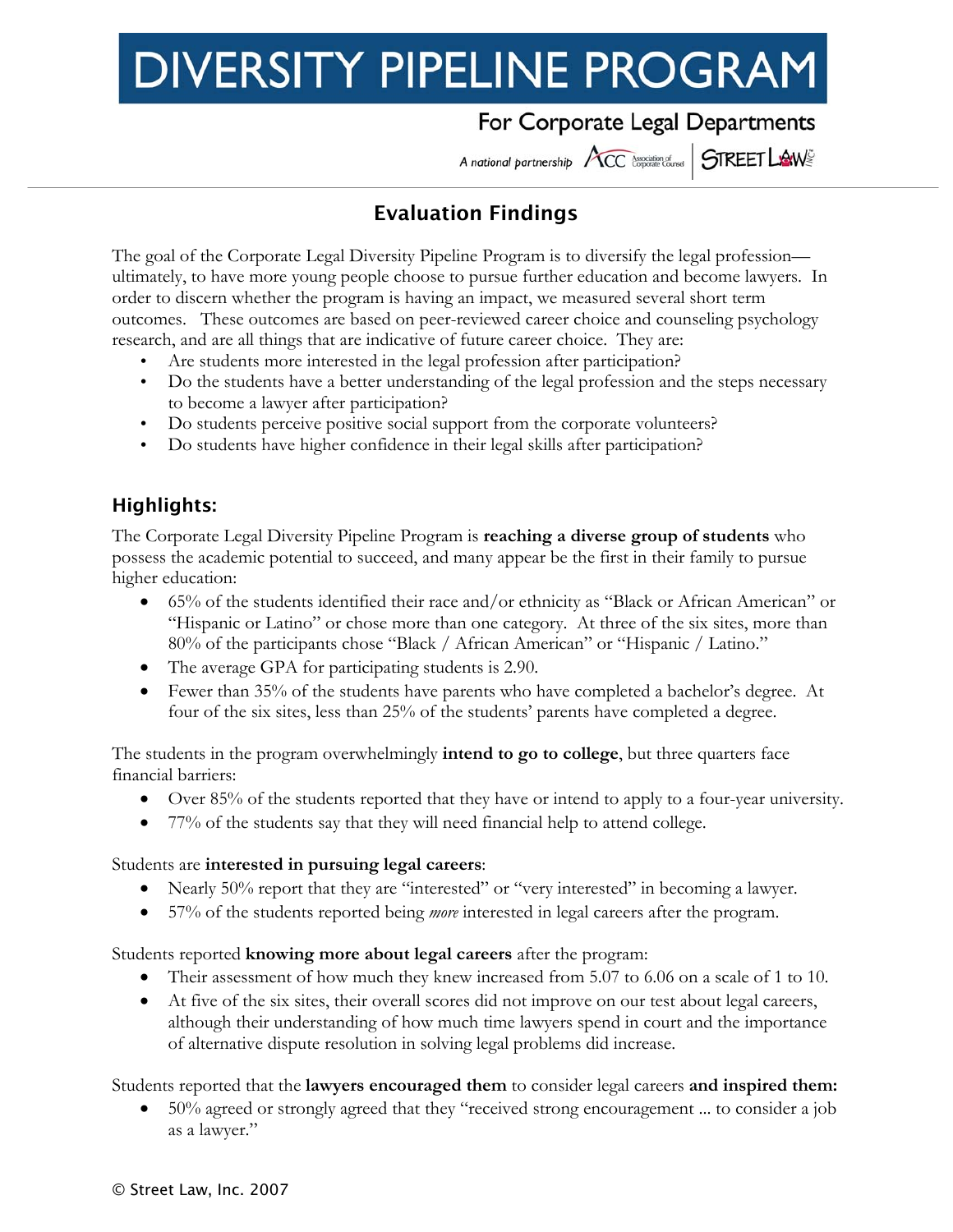# **DIVERSITY PIPELINE PROGRAM**

## For Corporate Legal Departments

A national partnership ACC consistence STREET LAWS

#### j Evaluation Findings

The goal of the Corporate Legal Diversity Pipeline Program is to diversify the legal profession ultimately, to have more young people choose to pursue further education and become lawyers. In order to discern whether the program is having an impact, we measured several short term outcomes. These outcomes are based on peer-reviewed career choice and counseling psychology research, and are all things that are indicative of future career choice. They are:

- Are students more interested in the legal profession after participation?
- Do the students have a better understanding of the legal profession and the steps necessary to become a lawyer after participation?
- Do students perceive positive social support from the corporate volunteers?
- Do students have higher confidence in their legal skills after participation?

### Highlights:

The Corporate Legal Diversity Pipeline Program is **reaching a diverse group of students** who possess the academic potential to succeed, and many appear be the first in their family to pursue higher education:

- 65% of the students identified their race and/or ethnicity as "Black or African American" or "Hispanic or Latino" or chose more than one category. At three of the six sites, more than 80% of the participants chose "Black / African American" or "Hispanic / Latino."
- The average GPA for participating students is 2.90.
- Fewer than 35% of the students have parents who have completed a bachelor's degree. At four of the six sites, less than 25% of the students' parents have completed a degree.

The students in the program overwhelmingly **intend to go to college**, but three quarters face financial barriers:

- Over 85% of the students reported that they have or intend to apply to a four-year university.
- 77% of the students say that they will need financial help to attend college.

#### Students are **interested in pursuing legal careers**:

- Nearly 50% report that they are "interested" or "very interested" in becoming a lawyer.
- 57% of the students reported being *more* interested in legal careers after the program.

#### Students reported **knowing more about legal careers** after the program:

- Their assessment of how much they knew increased from 5.07 to 6.06 on a scale of 1 to 10.
- At five of the six sites, their overall scores did not improve on our test about legal careers, although their understanding of how much time lawyers spend in court and the importance of alternative dispute resolution in solving legal problems did increase.

Students reported that the **lawyers encouraged them** to consider legal careers **and inspired them:** 

• 50% agreed or strongly agreed that they "received strong encouragement ... to consider a job as a lawyer."